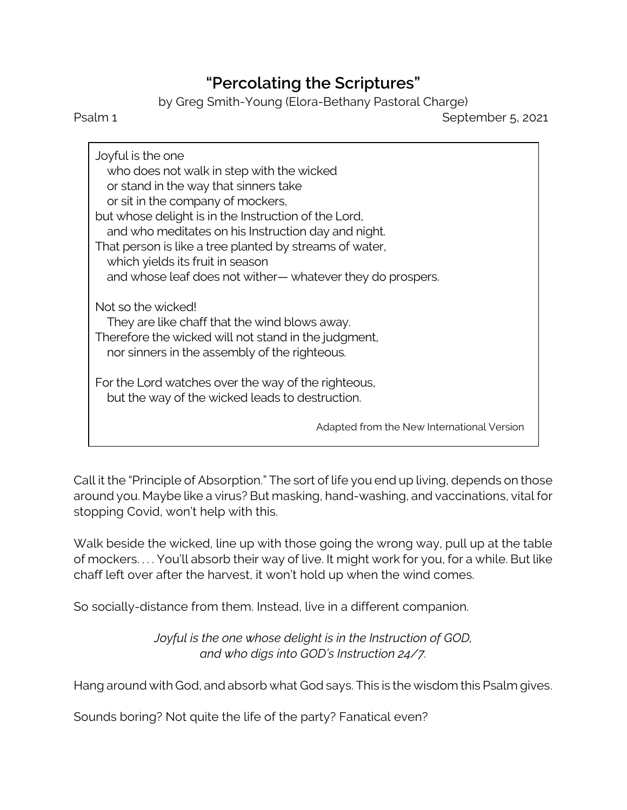## **"Percolating the Scriptures"**

by Greg Smith-Young (Elora-Bethany Pastoral Charge)

Psalm 1 September 5, 2021

Joyful is the one who does not walk in step with the wicked or stand in the way that sinners take or sit in the company of mockers, but whose delight is in the Instruction of the Lord, and who meditates on his Instruction day and night. That person is like a tree planted by streams of water, which yields its fruit in season and whose leaf does not wither— whatever they do prospers. Not so the wicked! They are like chaff that the wind blows away. Therefore the wicked will not stand in the judgment, nor sinners in the assembly of the righteous. For the Lord watches over the way of the righteous, but the way of the wicked leads to destruction. Adapted from the New International Version

Call it the "Principle of Absorption." The sort of life you end up living, depends on those around you. Maybe like a virus? But masking, hand-washing, and vaccinations, vital for stopping Covid, won't help with this.

Walk beside the wicked, line up with those going the wrong way, pull up at the table of mockers. . . . You'll absorb their way of live. It might work for you, for a while. But like chaff left over after the harvest, it won't hold up when the wind comes.

So socially-distance from them. Instead, live in a different companion.

*Joyful is the one whose delight is in the Instruction of GOD, and who digs into GOD's Instruction 24/7.*

Hang around with God, and absorb what God says. This is the wisdom this Psalm gives.

Sounds boring? Not quite the life of the party? Fanatical even?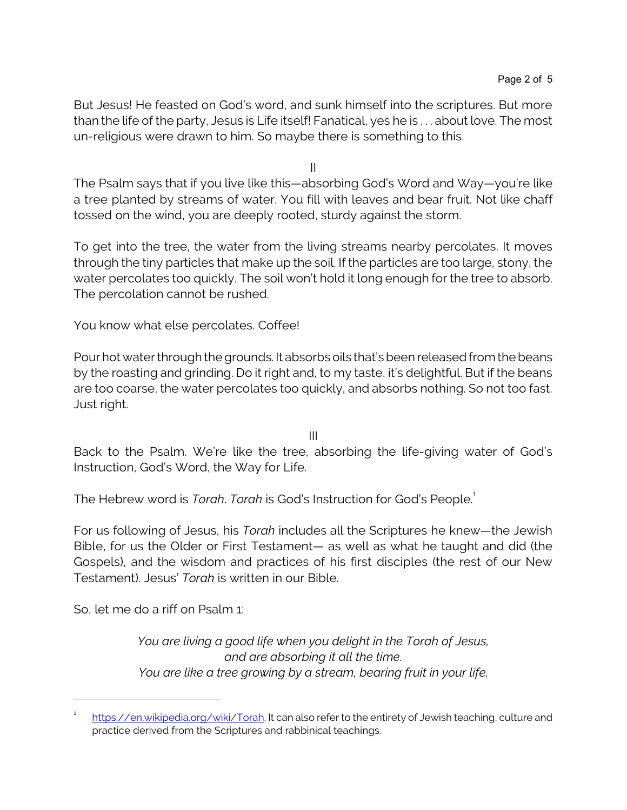But Jesus! He feasted on God's word, and sunk himself into the scriptures. But more than the life of the party, Jesus is Life itself! Fanatical, yes he is . . . about love. The most un-religious were drawn to him. So maybe there is something to this.

II

The Psalm says that if you live like this—absorbing God's Word and Way—you're like a tree planted by streams of water. You fill with leaves and bear fruit. Not like chaff tossed on the wind, you are deeply rooted, sturdy against the storm.

To get into the tree, the water from the living streams nearby percolates. It moves through the tiny particles that make up the soil. If the particles are too large, stony, the water percolates too quickly. The soil won't hold it long enough for the tree to absorb. The percolation cannot be rushed.

You know what else percolates. Coffee!

Pour hot water through the grounds. It absorbs oils that's been released from the beans by the roasting and grinding. Do it right and, to my taste, it's delightful. But if the beans are too coarse, the water percolates too quickly, and absorbs nothing. So not too fast. Just right.

III

Back to the Psalm. We're like the tree, absorbing the life-giving water of God's Instruction, God's Word, the Way for Life.

The Hebrew word is *Torah. Torah* is God's Instruction for God's People.<sup>1</sup>

For us following of Jesus, his *Torah* includes all the Scriptures he knew—the Jewish Bible, for us the Older or First Testament— as well as what he taught and did (the Gospels), and the wisdom and practices of his first disciples (the rest of our New Testament). Jesus' *Torah* is written in our Bible.

So, let me do a riff on Psalm 1:

*You are living a good life when you delight in the Torah of Jesus, and are absorbing it all the time. You are like a tree growing by a stream, bearing fruit in your life,*

<sup>1</sup> <https://en.wikipedia.org/wiki/Torah>. It can also refer to the entirety of Jewish teaching, culture and practice derived from the Scriptures and rabbinical teachings.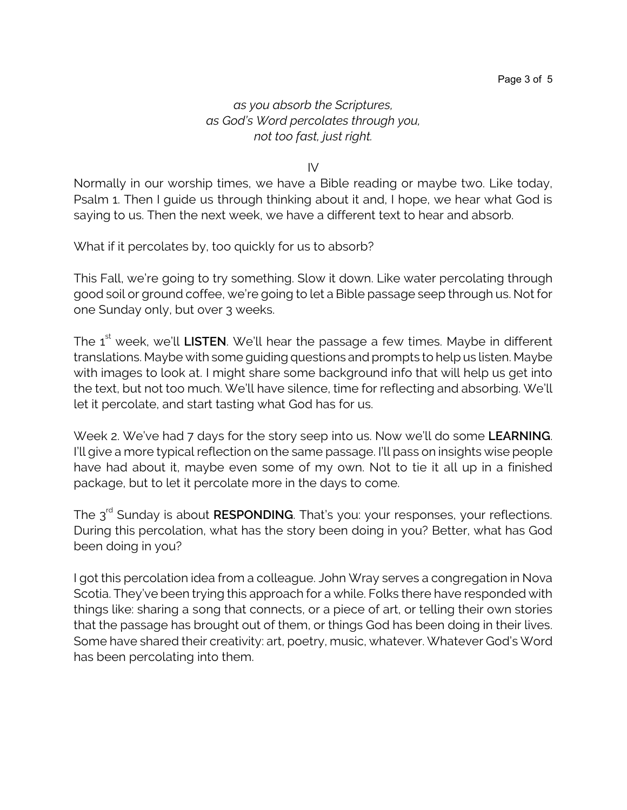## *as you absorb the Scriptures, as God's Word percolates through you, not too fast, just right.*

IV

Normally in our worship times, we have a Bible reading or maybe two. Like today, Psalm 1. Then I guide us through thinking about it and, I hope, we hear what God is saying to us. Then the next week, we have a different text to hear and absorb.

What if it percolates by, too quickly for us to absorb?

This Fall, we're going to try something. Slow it down. Like water percolating through good soil or ground coffee, we're going to let a Bible passage seep through us. Not for one Sunday only, but over 3 weeks.

The 1<sup>st</sup> week, we'll **LISTEN**. We'll hear the passage a few times. Maybe in different translations. Maybe with some guiding questions and prompts to help us listen. Maybe with images to look at. I might share some background info that will help us get into the text, but not too much. We'll have silence, time for reflecting and absorbing. We'll let it percolate, and start tasting what God has for us.

Week 2. We've had 7 days for the story seep into us. Now we'll do some **LEARNING**. I'll give a more typical reflection on the same passage. I'll pass on insights wise people have had about it, maybe even some of my own. Not to tie it all up in a finished package, but to let it percolate more in the days to come.

The 3<sup>rd</sup> Sunday is about **RESPONDING**. That's you: your responses, your reflections. During this percolation, what has the story been doing in you? Better, what has God been doing in you?

I got this percolation idea from a colleague. John Wray serves a congregation in Nova Scotia. They've been trying this approach for a while. Folks there have responded with things like: sharing a song that connects, or a piece of art, or telling their own stories that the passage has brought out of them, or things God has been doing in their lives. Some have shared their creativity: art, poetry, music, whatever. Whatever God's Word has been percolating into them.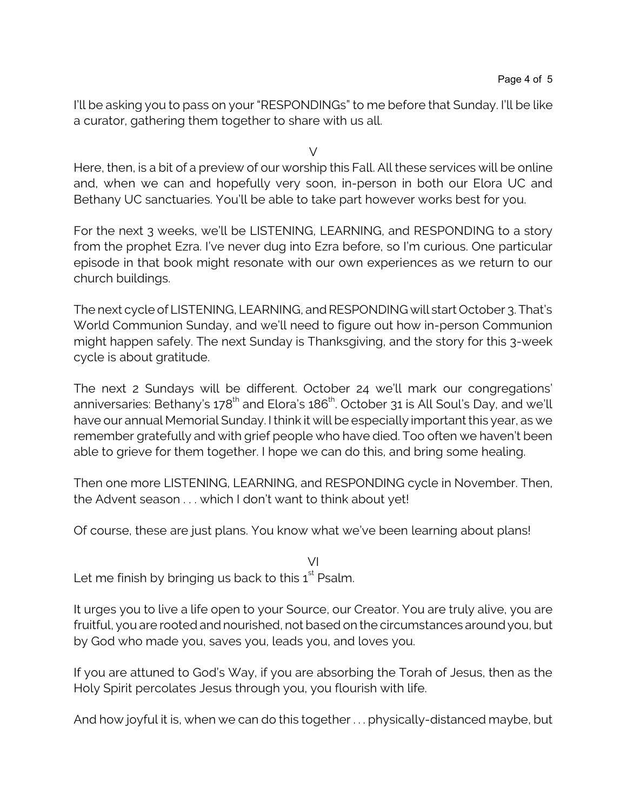I'll be asking you to pass on your "RESPONDINGs" to me before that Sunday. I'll be like a curator, gathering them together to share with us all.

V

Here, then, is a bit of a preview of our worship this Fall. All these services will be online and, when we can and hopefully very soon, in-person in both our Elora UC and Bethany UC sanctuaries. You'll be able to take part however works best for you.

For the next 3 weeks, we'll be LISTENING, LEARNING, and RESPONDING to a story from the prophet Ezra. I've never dug into Ezra before, so I'm curious. One particular episode in that book might resonate with our own experiences as we return to our church buildings.

The next cycle of LISTENING, LEARNING, and RESPONDING will start October 3. That's World Communion Sunday, and we'll need to figure out how in-person Communion might happen safely. The next Sunday is Thanksgiving, and the story for this 3-week cycle is about gratitude.

The next 2 Sundays will be different. October 24 we'll mark our congregations' anniversaries: Bethany's 178<sup>th</sup> and Elora's 186<sup>th</sup>. October 31 is All Soul's Day, and we'll have our annual Memorial Sunday. I think it will be especially important this year, as we remember gratefully and with grief people who have died. Too often we haven't been able to grieve for them together. I hope we can do this, and bring some healing.

Then one more LISTENING, LEARNING, and RESPONDING cycle in November. Then, the Advent season . . . which I don't want to think about yet!

Of course, these are just plans. You know what we've been learning about plans!

VI Let me finish by bringing us back to this  $1^\text{st}$  Psalm.

It urges you to live a life open to your Source, our Creator. You are truly alive, you are fruitful, you are rooted and nourished, not based on the circumstances around you, but by God who made you, saves you, leads you, and loves you.

If you are attuned to God's Way, if you are absorbing the Torah of Jesus, then as the Holy Spirit percolates Jesus through you, you flourish with life.

And how joyful it is, when we can do this together . . . physically-distanced maybe, but